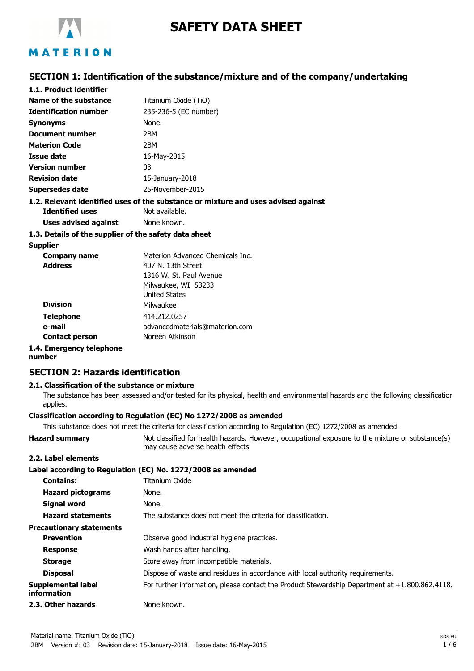

# **SAFETY DATA SHEET**

### **SECTION 1: Identification of the substance/mixture and of the company/undertaking**

| 1.1. Product identifier      |                                                                                    |
|------------------------------|------------------------------------------------------------------------------------|
| Name of the substance        | Titanium Oxide (TiO)                                                               |
| <b>Identification number</b> | 235-236-5 (EC number)                                                              |
| <b>Synonyms</b>              | None.                                                                              |
| Document number              | 2BM                                                                                |
| <b>Materion Code</b>         | 2BM                                                                                |
| Issue date                   | 16-May-2015                                                                        |
| <b>Version number</b>        | 03                                                                                 |
| <b>Revision date</b>         | 15-January-2018                                                                    |
| Supersedes date              | 25-November-2015                                                                   |
|                              | 1.2. Relevant identified uses of the substance or mixture and uses advised against |
| <b>Identified uses</b>       | Not available.                                                                     |
|                              |                                                                                    |

**Uses advised against** None known.

#### **1.3. Details of the supplier of the safety data sheet**

### **Supplier**

| <b>Company name</b>      | Materion Advanced Chemicals Inc. |
|--------------------------|----------------------------------|
| <b>Address</b>           | 407 N. 13th Street               |
|                          | 1316 W. St. Paul Avenue          |
|                          | Milwaukee, WI 53233              |
|                          | <b>United States</b>             |
| <b>Division</b>          | Milwaukee                        |
| <b>Telephone</b>         | 414.212.0257                     |
| e-mail                   | advancedmaterials@materion.com   |
| <b>Contact person</b>    | Noreen Atkinson                  |
| 1.4. Emergency telephone |                                  |

### **number**

### **SECTION 2: Hazards identification**

#### **2.1. Classification of the substance or mixture**

The substance has been assessed and/or tested for its physical, health and environmental hazards and the following classification applies.

### **Classification according to Regulation (EC) No 1272/2008 as amended**

This substance does not meet the criteria for classification according to Regulation (EC) 1272/2008 as amended.

Hazard summary **Not classified for health hazards. However, occupational exposure to the mixture or substance(s)** may cause adverse health effects.

### **2.2. Label elements**

|                                          | Label according to Regulation (EC) No. 1272/2008 as amended                                       |
|------------------------------------------|---------------------------------------------------------------------------------------------------|
| <b>Contains:</b>                         | Titanium Oxide                                                                                    |
| <b>Hazard pictograms</b>                 | None.                                                                                             |
| <b>Signal word</b>                       | None.                                                                                             |
| <b>Hazard statements</b>                 | The substance does not meet the criteria for classification.                                      |
| <b>Precautionary statements</b>          |                                                                                                   |
| <b>Prevention</b>                        | Observe good industrial hygiene practices.                                                        |
| <b>Response</b>                          | Wash hands after handling.                                                                        |
| <b>Storage</b>                           | Store away from incompatible materials.                                                           |
| <b>Disposal</b>                          | Dispose of waste and residues in accordance with local authority requirements.                    |
| <b>Supplemental label</b><br>information | For further information, please contact the Product Stewardship Department at $+1.800.862.4118$ . |
| 2.3. Other hazards                       | None known.                                                                                       |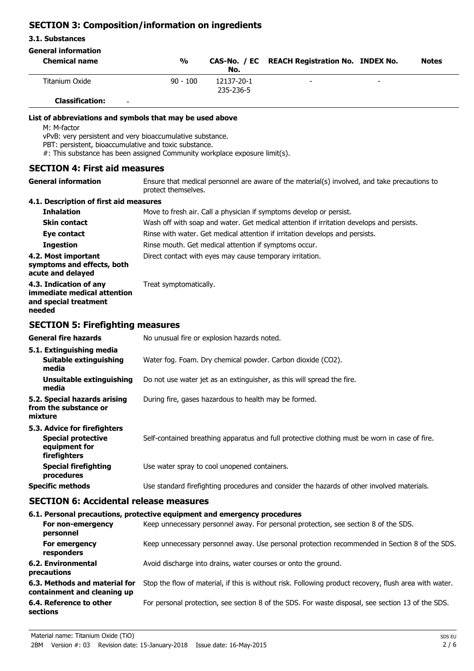### **SECTION 3: Composition/information on ingredients**

#### **3.1. Substances**

| <b>General information</b>                                                                                                           |                                                                                                                                                                          |                         |                                                                                               |              |
|--------------------------------------------------------------------------------------------------------------------------------------|--------------------------------------------------------------------------------------------------------------------------------------------------------------------------|-------------------------|-----------------------------------------------------------------------------------------------|--------------|
| <b>Chemical name</b>                                                                                                                 | $\frac{9}{6}$                                                                                                                                                            | CAS-No. / EC<br>No.     | <b>REACH Registration No. INDEX No.</b>                                                       | <b>Notes</b> |
| <b>Titanium Oxide</b>                                                                                                                | $90 - 100$                                                                                                                                                               | 12137-20-1<br>235-236-5 |                                                                                               |              |
| <b>Classification:</b>                                                                                                               |                                                                                                                                                                          |                         |                                                                                               |              |
| List of abbreviations and symbols that may be used above<br>M: M-factor<br>vPvB: very persistent and very bioaccumulative substance. |                                                                                                                                                                          |                         |                                                                                               |              |
| PBT: persistent, bioaccumulative and toxic substance.<br>#: This substance has been assigned Community workplace exposure limit(s).  |                                                                                                                                                                          |                         |                                                                                               |              |
| <b>SECTION 4: First aid measures</b>                                                                                                 |                                                                                                                                                                          |                         |                                                                                               |              |
| <b>General information</b>                                                                                                           | Ensure that medical personnel are aware of the material(s) involved, and take precautions to<br>protect themselves.                                                      |                         |                                                                                               |              |
| 4.1. Description of first aid measures                                                                                               |                                                                                                                                                                          |                         |                                                                                               |              |
| <b>Inhalation</b>                                                                                                                    |                                                                                                                                                                          |                         | Move to fresh air. Call a physician if symptoms develop or persist.                           |              |
| <b>Skin contact</b>                                                                                                                  |                                                                                                                                                                          |                         |                                                                                               |              |
| Eye contact                                                                                                                          | Wash off with soap and water. Get medical attention if irritation develops and persists.<br>Rinse with water. Get medical attention if irritation develops and persists. |                         |                                                                                               |              |
| <b>Ingestion</b>                                                                                                                     | Rinse mouth. Get medical attention if symptoms occur.                                                                                                                    |                         |                                                                                               |              |
| 4.2. Most important                                                                                                                  |                                                                                                                                                                          |                         |                                                                                               |              |
| symptoms and effects, both<br>acute and delayed                                                                                      | Direct contact with eyes may cause temporary irritation.                                                                                                                 |                         |                                                                                               |              |
| 4.3. Indication of any<br>immediate medical attention<br>and special treatment<br>needed                                             | Treat symptomatically.                                                                                                                                                   |                         |                                                                                               |              |
| <b>SECTION 5: Firefighting measures</b>                                                                                              |                                                                                                                                                                          |                         |                                                                                               |              |
| <b>General fire hazards</b>                                                                                                          | No unusual fire or explosion hazards noted.                                                                                                                              |                         |                                                                                               |              |
| 5.1. Extinguishing media                                                                                                             |                                                                                                                                                                          |                         |                                                                                               |              |
| <b>Suitable extinguishing</b><br>media                                                                                               |                                                                                                                                                                          |                         | Water fog. Foam. Dry chemical powder. Carbon dioxide (CO2).                                   |              |
| <b>Unsuitable extinguishing</b><br>media                                                                                             | Do not use water jet as an extinguisher, as this will spread the fire.                                                                                                   |                         |                                                                                               |              |
| 5.2. Special hazards arising<br>from the substance or<br>mixture                                                                     | During fire, gases hazardous to health may be formed.                                                                                                                    |                         |                                                                                               |              |
| 5.3. Advice for firefighters                                                                                                         |                                                                                                                                                                          |                         |                                                                                               |              |
| <b>Special protective</b><br>equipment for<br>firefighters                                                                           |                                                                                                                                                                          |                         | Self-contained breathing apparatus and full protective clothing must be worn in case of fire. |              |
| <b>Special firefighting</b><br>procedures                                                                                            | Use water spray to cool unopened containers.                                                                                                                             |                         |                                                                                               |              |
| <b>Specific methods</b>                                                                                                              | Use standard firefighting procedures and consider the hazards of other involved materials.                                                                               |                         |                                                                                               |              |
| <b>SECTION 6: Accidental release measures</b>                                                                                        |                                                                                                                                                                          |                         |                                                                                               |              |
| 6.1. Personal precautions, protective equipment and emergency procedures                                                             |                                                                                                                                                                          |                         |                                                                                               |              |
| For non-emergency<br>personnel                                                                                                       |                                                                                                                                                                          |                         | Keep unnecessary personnel away. For personal protection, see section 8 of the SDS.           |              |
| For emergency<br>responders                                                                                                          |                                                                                                                                                                          |                         | Keep unnecessary personnel away. Use personal protection recommended in Section 8 of the SDS. |              |

**precautions 6.3. Methods and material for** Stop the flow of material, if this is without risk. Following product recovery, flush area with water. **containment and cleaning up 6.4. Reference to other** For personal protection, see section 8 of the SDS. For waste disposal, see section 13 of the SDS. **sections**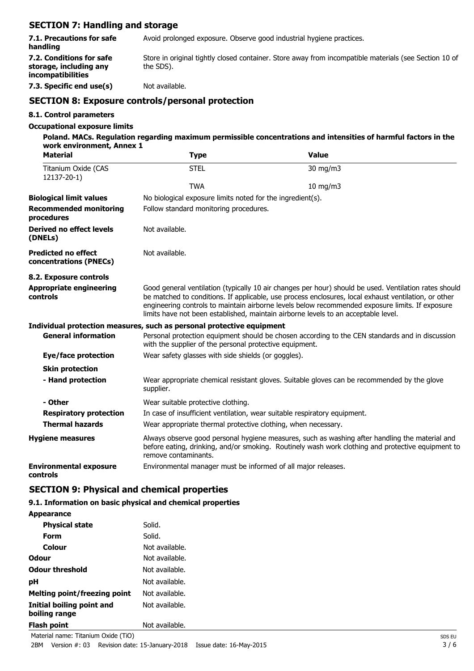# **SECTION 7: Handling and storage**

|                                                                         | <b>SECTION 8: Exposure controls/personal protection</b>                                                            |
|-------------------------------------------------------------------------|--------------------------------------------------------------------------------------------------------------------|
| 7.3. Specific end use(s)                                                | Not available.                                                                                                     |
| 7.2. Conditions for safe<br>storage, including any<br>incompatibilities | Store in original tightly closed container. Store away from incompatible materials (see Section 10 of<br>the SDS). |
| 7.1. Precautions for safe<br>handling                                   | Avoid prolonged exposure. Observe good industrial hygiene practices.                                               |
|                                                                         |                                                                                                                    |

### **8.1. Control parameters**

#### **Occupational exposure limits**

| Poland. MACs. Regulation regarding maximum permissible concentrations and intensities of harmful factors in the |  |
|-----------------------------------------------------------------------------------------------------------------|--|
| work environment, Annex 1                                                                                       |  |
|                                                                                                                 |  |

| <b>Material</b>                                      | <b>Type</b>                                                                                                                                                                                                                                                                                                                                                                                            | <b>Value</b>                                                                                                                                                                                        |  |  |
|------------------------------------------------------|--------------------------------------------------------------------------------------------------------------------------------------------------------------------------------------------------------------------------------------------------------------------------------------------------------------------------------------------------------------------------------------------------------|-----------------------------------------------------------------------------------------------------------------------------------------------------------------------------------------------------|--|--|
| Titanium Oxide (CAS<br>12137-20-1)                   | <b>STEL</b>                                                                                                                                                                                                                                                                                                                                                                                            | 30 mg/m3                                                                                                                                                                                            |  |  |
|                                                      | <b>TWA</b>                                                                                                                                                                                                                                                                                                                                                                                             | 10 mg/m3                                                                                                                                                                                            |  |  |
| <b>Biological limit values</b>                       |                                                                                                                                                                                                                                                                                                                                                                                                        | No biological exposure limits noted for the ingredient(s).                                                                                                                                          |  |  |
| <b>Recommended monitoring</b><br>procedures          | Follow standard monitoring procedures.                                                                                                                                                                                                                                                                                                                                                                 |                                                                                                                                                                                                     |  |  |
| Derived no effect levels<br>(DNELs)                  | Not available.                                                                                                                                                                                                                                                                                                                                                                                         |                                                                                                                                                                                                     |  |  |
| <b>Predicted no effect</b><br>concentrations (PNECs) | Not available.                                                                                                                                                                                                                                                                                                                                                                                         |                                                                                                                                                                                                     |  |  |
| 8.2. Exposure controls                               |                                                                                                                                                                                                                                                                                                                                                                                                        |                                                                                                                                                                                                     |  |  |
| <b>Appropriate engineering</b><br>controls           | Good general ventilation (typically 10 air changes per hour) should be used. Ventilation rates should<br>be matched to conditions. If applicable, use process enclosures, local exhaust ventilation, or other<br>engineering controls to maintain airborne levels below recommended exposure limits. If exposure<br>limits have not been established, maintain airborne levels to an acceptable level. |                                                                                                                                                                                                     |  |  |
|                                                      | Individual protection measures, such as personal protective equipment                                                                                                                                                                                                                                                                                                                                  |                                                                                                                                                                                                     |  |  |
| <b>General information</b>                           | with the supplier of the personal protective equipment.                                                                                                                                                                                                                                                                                                                                                | Personal protection equipment should be chosen according to the CEN standards and in discussion                                                                                                     |  |  |
| Eye/face protection                                  | Wear safety glasses with side shields (or goggles).                                                                                                                                                                                                                                                                                                                                                    |                                                                                                                                                                                                     |  |  |
| <b>Skin protection</b>                               |                                                                                                                                                                                                                                                                                                                                                                                                        |                                                                                                                                                                                                     |  |  |
| - Hand protection                                    | supplier.                                                                                                                                                                                                                                                                                                                                                                                              | Wear appropriate chemical resistant gloves. Suitable gloves can be recommended by the glove                                                                                                         |  |  |
| - Other                                              | Wear suitable protective clothing.                                                                                                                                                                                                                                                                                                                                                                     |                                                                                                                                                                                                     |  |  |
| <b>Respiratory protection</b>                        | In case of insufficient ventilation, wear suitable respiratory equipment.                                                                                                                                                                                                                                                                                                                              |                                                                                                                                                                                                     |  |  |
| <b>Thermal hazards</b>                               |                                                                                                                                                                                                                                                                                                                                                                                                        | Wear appropriate thermal protective clothing, when necessary.                                                                                                                                       |  |  |
| <b>Hygiene measures</b>                              | remove contaminants.                                                                                                                                                                                                                                                                                                                                                                                   | Always observe good personal hygiene measures, such as washing after handling the material and<br>before eating, drinking, and/or smoking. Routinely wash work clothing and protective equipment to |  |  |
| <b>Environmental exposure</b><br>controls            | Environmental manager must be informed of all major releases.                                                                                                                                                                                                                                                                                                                                          |                                                                                                                                                                                                     |  |  |

# **SECTION 9: Physical and chemical properties**

### **9.1. Information on basic physical and chemical properties**

| <b>Appearance</b>                          |                |
|--------------------------------------------|----------------|
| <b>Physical state</b>                      | Solid.         |
| Form                                       | Solid.         |
| Colour                                     | Not available. |
| Odour                                      | Not available. |
| <b>Odour threshold</b>                     | Not available. |
| рH                                         | Not available. |
| Melting point/freezing point               | Not available. |
| Initial boiling point and<br>boiling range | Not available. |
| <b>Flash point</b>                         | Not available. |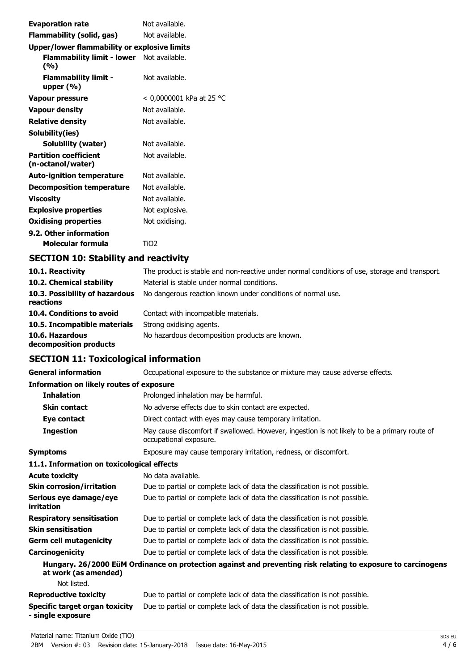| <b>Evaporation rate</b>                           | Not available.           |
|---------------------------------------------------|--------------------------|
| Flammability (solid, gas)                         | Not available.           |
| Upper/lower flammability or explosive limits      |                          |
| Flammability limit - lower Not available.<br>(%)  |                          |
| <b>Flammability limit -</b><br>upper $(\%)$       | Not available.           |
| Vapour pressure                                   | < 0,0000001 kPa at 25 °C |
| <b>Vapour density</b>                             | Not available.           |
| <b>Relative density</b>                           | Not available.           |
| Solubility(ies)                                   |                          |
| Solubility (water)                                | Not available.           |
| <b>Partition coefficient</b><br>(n-octanol/water) | Not available.           |
| <b>Auto-ignition temperature</b>                  | Not available.           |
| <b>Decomposition temperature</b>                  | Not available.           |
| Viscosity                                         | Not available.           |
| <b>Explosive properties</b>                       | Not explosive.           |
| <b>Oxidising properties</b>                       | Not oxidising.           |
| 9.2. Other information                            |                          |
| Molecular formula                                 | TiO <sub>2</sub>         |
|                                                   |                          |

# **SECTION 10: Stability and reactivity**

| 10.1. Reactivity                            | The product is stable and non-reactive under normal conditions of use, storage and transport |
|---------------------------------------------|----------------------------------------------------------------------------------------------|
| 10.2. Chemical stability                    | Material is stable under normal conditions.                                                  |
| 10.3. Possibility of hazardous<br>reactions | No dangerous reaction known under conditions of normal use.                                  |
| 10.4. Conditions to avoid                   | Contact with incompatible materials.                                                         |
| 10.5. Incompatible materials                | Strong oxidising agents.                                                                     |
| 10.6. Hazardous<br>decomposition products   | No hazardous decomposition products are known.                                               |

# **SECTION 11: Toxicological information**

| <b>General information</b>                                 | Occupational exposure to the substance or mixture may cause adverse effects.                                           |
|------------------------------------------------------------|------------------------------------------------------------------------------------------------------------------------|
| <b>Information on likely routes of exposure</b>            |                                                                                                                        |
| <b>Inhalation</b>                                          | Prolonged inhalation may be harmful.                                                                                   |
| <b>Skin contact</b>                                        | No adverse effects due to skin contact are expected.                                                                   |
| Eye contact                                                | Direct contact with eyes may cause temporary irritation.                                                               |
| <b>Ingestion</b>                                           | May cause discomfort if swallowed. However, ingestion is not likely to be a primary route of<br>occupational exposure. |
| <b>Symptoms</b>                                            | Exposure may cause temporary irritation, redness, or discomfort.                                                       |
| 11.1. Information on toxicological effects                 |                                                                                                                        |
| <b>Acute toxicity</b>                                      | No data available.                                                                                                     |
| <b>Skin corrosion/irritation</b>                           | Due to partial or complete lack of data the classification is not possible.                                            |
| Serious eye damage/eye<br>irritation                       | Due to partial or complete lack of data the classification is not possible.                                            |
| <b>Respiratory sensitisation</b>                           | Due to partial or complete lack of data the classification is not possible.                                            |
| <b>Skin sensitisation</b>                                  | Due to partial or complete lack of data the classification is not possible.                                            |
| <b>Germ cell mutagenicity</b>                              | Due to partial or complete lack of data the classification is not possible.                                            |
| Carcinogenicity                                            | Due to partial or complete lack of data the classification is not possible.                                            |
| at work (as amended)                                       | Hungary. 26/2000 EüM Ordinance on protection against and preventing risk relating to exposure to carcinogens           |
| Not listed.                                                |                                                                                                                        |
| <b>Reproductive toxicity</b>                               | Due to partial or complete lack of data the classification is not possible.                                            |
| <b>Specific target organ toxicity</b><br>- single exposure | Due to partial or complete lack of data the classification is not possible.                                            |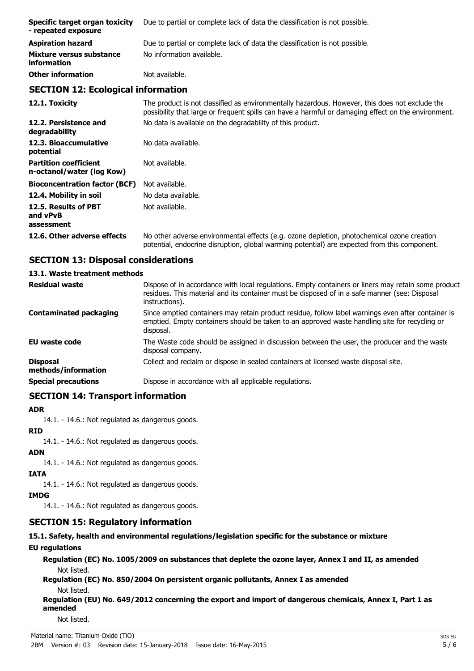| Specific target organ toxicity<br>- repeated exposure | Due to partial or complete lack of data the classification is not possible. |
|-------------------------------------------------------|-----------------------------------------------------------------------------|
| <b>Aspiration hazard</b>                              | Due to partial or complete lack of data the classification is not possible. |
| Mixture versus substance<br>information               | No information available.                                                   |
| <b>Other information</b>                              | Not available.                                                              |

### **SECTION 12: Ecological information**

**12.1. Toxicity** The product is not classified as environmentally hazardous. However, this does not exclude the possibility that large or frequent spills can have a harmful or damaging effect on the environment. **12.2. Persistence and** No data is available on the degradability of this product. **degradability** 12.3. Bioaccumulative No data available. **potential Partition coefficient n-octanol/water (log Kow)** Not available. **Bioconcentration factor (BCF)** Not available. **12.4. Mobility in soil** No data available. **12.5. Results of PBT and vPvB assessment** Not available. **12.6. Other adverse effects** No other adverse environmental effects (e.g. ozone depletion, photochemical ozone creation potential, endocrine disruption, global warming potential) are expected from this component.

# **SECTION 13: Disposal considerations**

# **13.1. Waste treatment methods**

| <b>Residual waste</b>                  | Dispose of in accordance with local regulations. Empty containers or liners may retain some product<br>residues. This material and its container must be disposed of in a safe manner (see: Disposal<br>instructions). |
|----------------------------------------|------------------------------------------------------------------------------------------------------------------------------------------------------------------------------------------------------------------------|
| <b>Contaminated packaging</b>          | Since emptied containers may retain product residue, follow label warnings even after container is<br>emptied. Empty containers should be taken to an approved waste handling site for recycling or<br>disposal.       |
| <b>EU waste code</b>                   | The Waste code should be assigned in discussion between the user, the producer and the waste<br>disposal company.                                                                                                      |
| <b>Disposal</b><br>methods/information | Collect and reclaim or dispose in sealed containers at licensed waste disposal site.                                                                                                                                   |
| <b>Special precautions</b>             | Dispose in accordance with all applicable regulations.                                                                                                                                                                 |

# **SECTION 14: Transport information**

### **ADR**

14.1. - 14.6.: Not regulated as dangerous goods.

### **RID**

14.1. - 14.6.: Not regulated as dangerous goods.

### **ADN**

14.1. - 14.6.: Not regulated as dangerous goods.

### **IATA**

14.1. - 14.6.: Not regulated as dangerous goods.

### **IMDG**

14.1. - 14.6.: Not regulated as dangerous goods.

# **SECTION 15: Regulatory information**

**15.1. Safety, health and environmental regulations/legislation specific for the substance or mixture**

### **EU regulations**

**Regulation (EC) No. 1005/2009 on substances that deplete the ozone layer, Annex I and II, as amended** Not listed.

**Regulation (EC) No. 850/2004 On persistent organic pollutants, Annex I as amended** Not listed.

**Regulation (EU) No. 649/2012 concerning the export and import of dangerous chemicals, Annex I, Part 1 as amended**

Not listed.